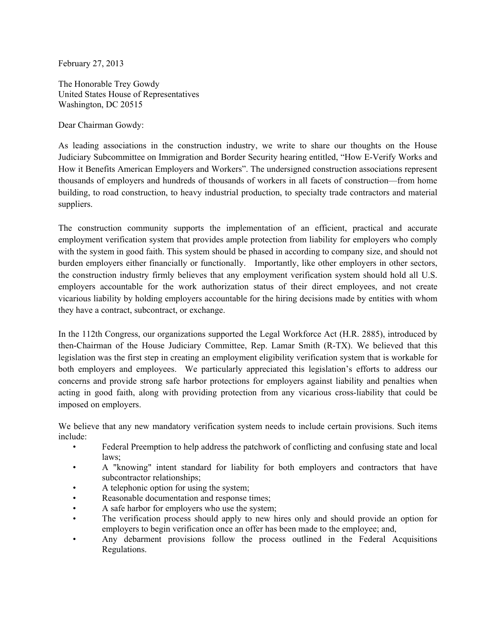February 27, 2013

The Honorable Trey Gowdy United States House of Representatives Washington, DC 20515

Dear Chairman Gowdy:

As leading associations in the construction industry, we write to share our thoughts on the House Judiciary Subcommittee on Immigration and Border Security hearing entitled, "How E-Verify Works and How it Benefits American Employers and Workers". The undersigned construction associations represent thousands of employers and hundreds of thousands of workers in all facets of construction—from home building, to road construction, to heavy industrial production, to specialty trade contractors and material suppliers.

The construction community supports the implementation of an efficient, practical and accurate employment verification system that provides ample protection from liability for employers who comply with the system in good faith. This system should be phased in according to company size, and should not burden employers either financially or functionally. Importantly, like other employers in other sectors, the construction industry firmly believes that any employment verification system should hold all U.S. employers accountable for the work authorization status of their direct employees, and not create vicarious liability by holding employers accountable for the hiring decisions made by entities with whom they have a contract, subcontract, or exchange.

In the 112th Congress, our organizations supported the Legal Workforce Act (H.R. 2885), introduced by then-Chairman of the House Judiciary Committee, Rep. Lamar Smith (R-TX). We believed that this legislation was the first step in creating an employment eligibility verification system that is workable for both employers and employees. We particularly appreciated this legislation's efforts to address our concerns and provide strong safe harbor protections for employers against liability and penalties when acting in good faith, along with providing protection from any vicarious cross-liability that could be imposed on employers.

We believe that any new mandatory verification system needs to include certain provisions. Such items include:

- Federal Preemption to help address the patchwork of conflicting and confusing state and local laws;
- A "knowing" intent standard for liability for both employers and contractors that have subcontractor relationships;
- A telephonic option for using the system;
- Reasonable documentation and response times;
- A safe harbor for employers who use the system;
- The verification process should apply to new hires only and should provide an option for employers to begin verification once an offer has been made to the employee; and,
- Any debarment provisions follow the process outlined in the Federal Acquisitions Regulations.